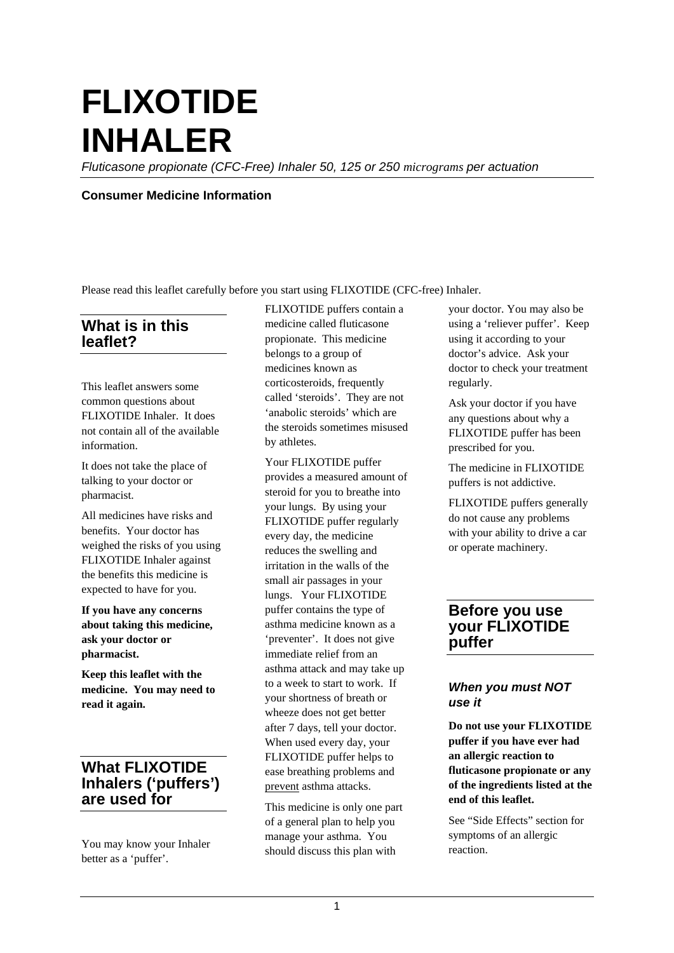# **FLIXOTIDE INHALER**

*Fluticasone propionate (CFC-Free) Inhaler 50, 125 or 250 micrograms per actuation* 

#### **Consumer Medicine Information**

Please read this leaflet carefully before you start using FLIXOTIDE (CFC-free) Inhaler.

## **What is in this leaflet?**

This leaflet answers some common questions about FLIXOTIDE Inhaler. It does not contain all of the available information.

It does not take the place of talking to your doctor or pharmacist.

All medicines have risks and benefits. Your doctor has weighed the risks of you using FLIXOTIDE Inhaler against the benefits this medicine is expected to have for you.

**If you have any concerns about taking this medicine, ask your doctor or pharmacist.**

**Keep this leaflet with the medicine. You may need to read it again.**

# **What FLIXOTIDE Inhalers ('puffers') are used for**

You may know your Inhaler better as a 'puffer'.

FLIXOTIDE puffers contain a medicine called fluticasone propionate. This medicine belongs to a group of medicines known as corticosteroids, frequently called 'steroids'. They are not 'anabolic steroids' which are the steroids sometimes misused by athletes.

Your FLIXOTIDE puffer provides a measured amount of steroid for you to breathe into your lungs. By using your FLIXOTIDE puffer regularly every day, the medicine reduces the swelling and irritation in the walls of the small air passages in your lungs. Your FLIXOTIDE puffer contains the type of asthma medicine known as a 'preventer'. It does not give immediate relief from an asthma attack and may take up to a week to start to work. If your shortness of breath or wheeze does not get better after 7 days, tell your doctor. When used every day, your FLIXOTIDE puffer helps to ease breathing problems and prevent asthma attacks.

This medicine is only one part of a general plan to help you manage your asthma. You should discuss this plan with

your doctor. You may also be using a 'reliever puffer'. Keep using it according to your doctor's advice. Ask your doctor to check your treatment regularly.

Ask your doctor if you have any questions about why a FLIXOTIDE puffer has been prescribed for you.

The medicine in FLIXOTIDE puffers is not addictive.

FLIXOTIDE puffers generally do not cause any problems with your ability to drive a car or operate machinery.

## **Before you use your FLIXOTIDE puffer**

#### *When you must NOT use it*

**Do not use your FLIXOTIDE puffer if you have ever had an allergic reaction to fluticasone propionate or any of the ingredients listed at the end of this leaflet.** 

See "Side Effects" section for symptoms of an allergic reaction.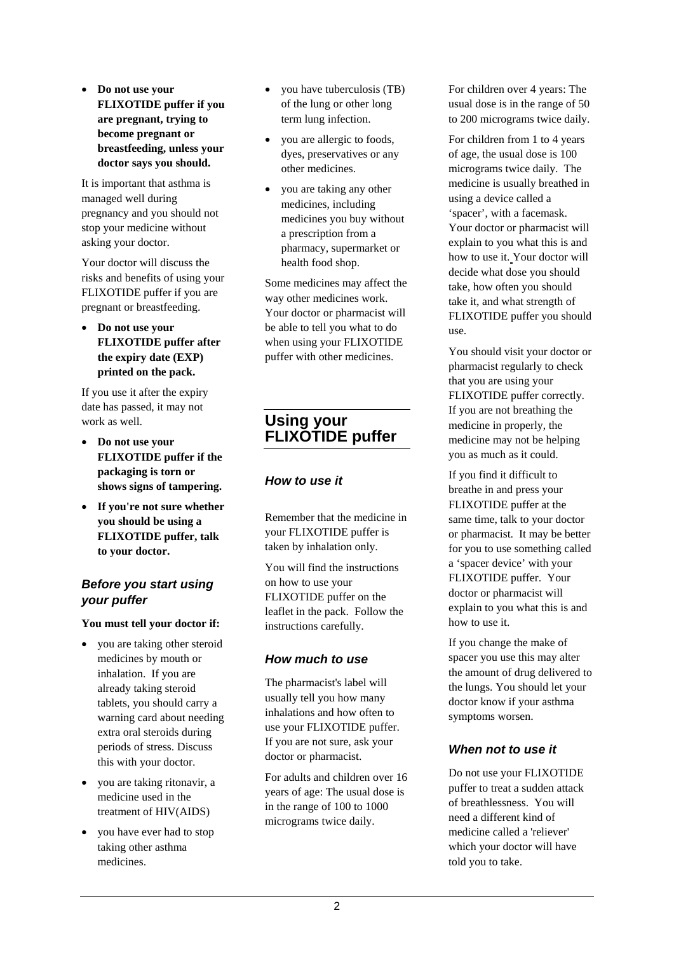• **Do not use your FLIXOTIDE puffer if you are pregnant, trying to become pregnant or breastfeeding, unless your doctor says you should.** 

It is important that asthma is managed well during pregnancy and you should not stop your medicine without asking your doctor.

Your doctor will discuss the risks and benefits of using your FLIXOTIDE puffer if you are pregnant or breastfeeding.

• **Do not use your FLIXOTIDE puffer after the expiry date (EXP) printed on the pack.**

If you use it after the expiry date has passed, it may not work as well.

- **Do not use your FLIXOTIDE puffer if the packaging is torn or shows signs of tampering.**
- **If you're not sure whether you should be using a FLIXOTIDE puffer, talk to your doctor.**

#### *Before you start using your puffer*

**You must tell your doctor if:**

- you are taking other steroid medicines by mouth or inhalation. If you are already taking steroid tablets, you should carry a warning card about needing extra oral steroids during periods of stress. Discuss this with your doctor.
- you are taking ritonavir, a medicine used in the treatment of HIV(AIDS)
- you have ever had to stop taking other asthma medicines.
- you have tuberculosis (TB) of the lung or other long term lung infection.
- you are allergic to foods, dyes, preservatives or any other medicines.
- you are taking any other medicines, including medicines you buy without a prescription from a pharmacy, supermarket or health food shop.

Some medicines may affect the way other medicines work. Your doctor or pharmacist will be able to tell you what to do when using your FLIXOTIDE puffer with other medicines.

# **Using your FLIXOTIDE puffer**

#### *How to use it*

Remember that the medicine in your FLIXOTIDE puffer is taken by inhalation only.

You will find the instructions on how to use your FLIXOTIDE puffer on the leaflet in the pack. Follow the instructions carefully.

## *How much to use*

The pharmacist's label will usually tell you how many inhalations and how often to use your FLIXOTIDE puffer. If you are not sure, ask your doctor or pharmacist.

For adults and children over 16 years of age: The usual dose is in the range of 100 to 1000 micrograms twice daily.

For children over 4 years: The usual dose is in the range of 50 to 200 micrograms twice daily.

For children from 1 to 4 years of age, the usual dose is 100 micrograms twice daily. The medicine is usually breathed in using a device called a 'spacer', with a facemask. Your doctor or pharmacist will explain to you what this is and how to use it. Your doctor will decide what dose you should take, how often you should take it, and what strength of FLIXOTIDE puffer you should use.

You should visit your doctor or pharmacist regularly to check that you are using your FLIXOTIDE puffer correctly. If you are not breathing the medicine in properly, the medicine may not be helping you as much as it could.

If you find it difficult to breathe in and press your FLIXOTIDE puffer at the same time, talk to your doctor or pharmacist. It may be better for you to use something called a 'spacer device' with your FLIXOTIDE puffer. Your doctor or pharmacist will explain to you what this is and how to use it.

If you change the make of spacer you use this may alter the amount of drug delivered to the lungs. You should let your doctor know if your asthma symptoms worsen.

# *When not to use it*

Do not use your FLIXOTIDE puffer to treat a sudden attack of breathlessness. You will need a different kind of medicine called a 'reliever' which your doctor will have told you to take.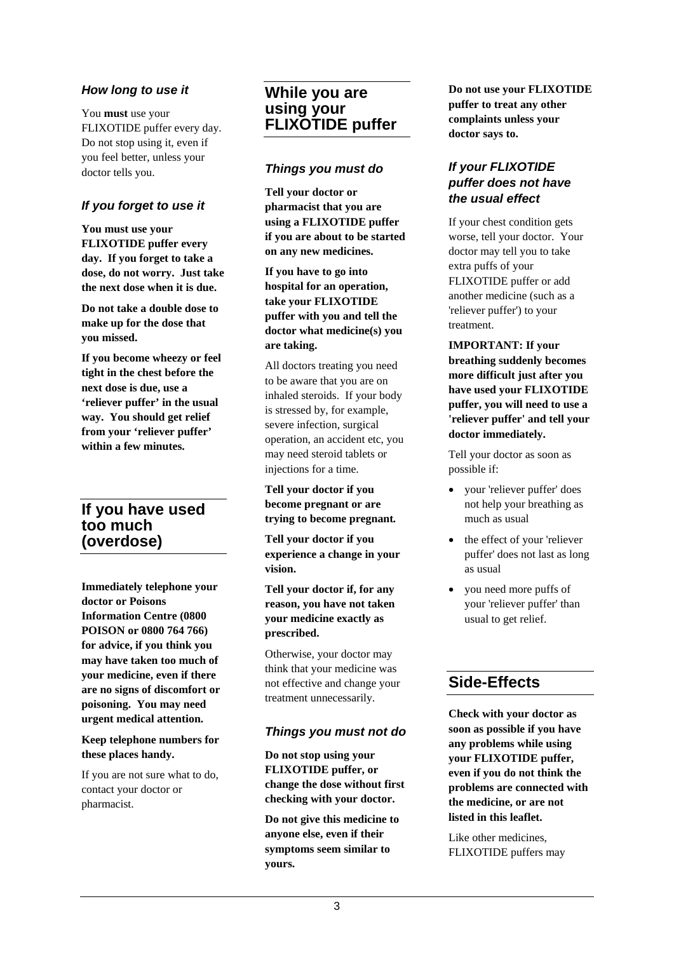#### *How long to use it*

You **must** use your FLIXOTIDE puffer every day. Do not stop using it, even if you feel better, unless your doctor tells you.

### *If you forget to use it*

**You must use your FLIXOTIDE puffer every day. If you forget to take a dose, do not worry. Just take the next dose when it is due.** 

**Do not take a double dose to make up for the dose that you missed.**

**If you become wheezy or feel tight in the chest before the next dose is due, use a 'reliever puffer' in the usual way. You should get relief from your 'reliever puffer' within a few minutes.**

## **If you have used too much (overdose)**

**Immediately telephone your doctor or Poisons Information Centre (0800 POISON or 0800 764 766) for advice, if you think you may have taken too much of your medicine, even if there are no signs of discomfort or poisoning. You may need urgent medical attention.**

**Keep telephone numbers for these places handy.**

If you are not sure what to do, contact your doctor or pharmacist.

## **While you are using your FLIXOTIDE puffer**

#### *Things you must do*

**Tell your doctor or pharmacist that you are using a FLIXOTIDE puffer if you are about to be started on any new medicines.**

**If you have to go into hospital for an operation, take your FLIXOTIDE puffer with you and tell the doctor what medicine(s) you are taking.**

All doctors treating you need to be aware that you are on inhaled steroids. If your body is stressed by, for example, severe infection, surgical operation, an accident etc, you may need steroid tablets or injections for a time.

**Tell your doctor if you become pregnant or are trying to become pregnant***.*

**Tell your doctor if you experience a change in your vision.**

**Tell your doctor if, for any reason, you have not taken your medicine exactly as prescribed.** 

Otherwise, your doctor may think that your medicine was not effective and change your treatment unnecessarily.

#### *Things you must not do*

**Do not stop using your FLIXOTIDE puffer, or change the dose without first checking with your doctor.**

**Do not give this medicine to anyone else, even if their symptoms seem similar to yours.**

**Do not use your FLIXOTIDE puffer to treat any other complaints unless your doctor says to.**

#### *If your FLIXOTIDE puffer does not have the usual effect*

If your chest condition gets worse, tell your doctor. Your doctor may tell you to take extra puffs of your FLIXOTIDE puffer or add another medicine (such as a 'reliever puffer') to your treatment.

**IMPORTANT: If your breathing suddenly becomes more difficult just after you have used your FLIXOTIDE puffer, you will need to use a 'reliever puffer' and tell your doctor immediately.**

Tell your doctor as soon as possible if:

- your 'reliever puffer' does not help your breathing as much as usual
- the effect of your 'reliever puffer' does not last as long as usual
- you need more puffs of your 'reliever puffer' than usual to get relief.

# **Side-Effects**

**Check with your doctor as soon as possible if you have any problems while using your FLIXOTIDE puffer, even if you do not think the problems are connected with the medicine, or are not listed in this leaflet.**

Like other medicines, FLIXOTIDE puffers may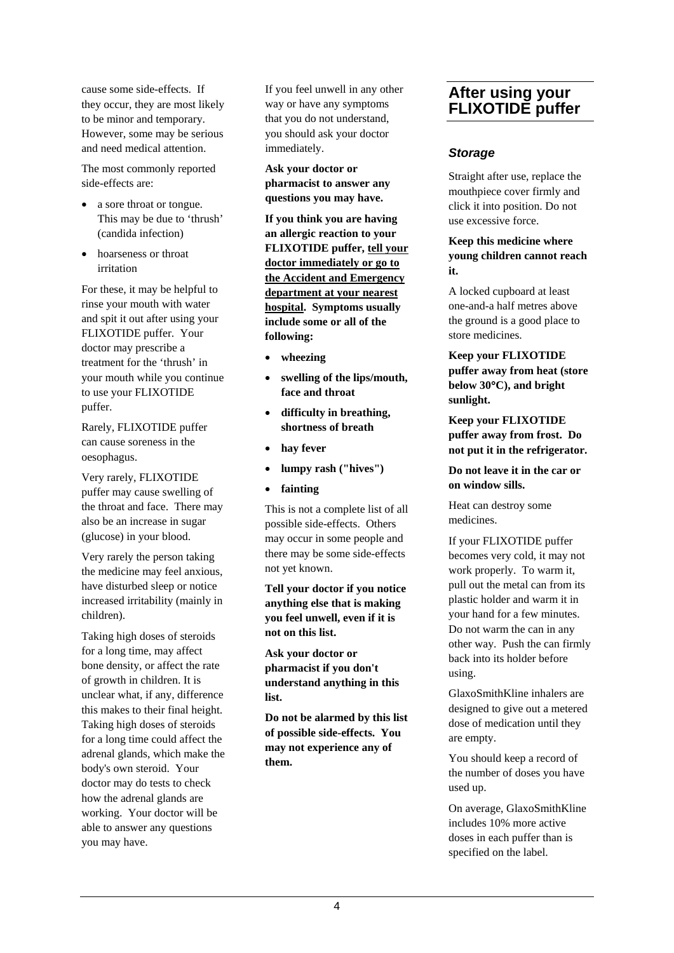cause some side-effects. If they occur, they are most likely to be minor and temporary. However, some may be serious and need medical attention.

The most commonly reported side-effects are:

- a sore throat or tongue. This may be due to 'thrush' (candida infection)
- hoarseness or throat irritation

For these, it may be helpful to rinse your mouth with water and spit it out after using your FLIXOTIDE puffer. Your doctor may prescribe a treatment for the 'thrush' in your mouth while you continue to use your FLIXOTIDE puffer.

Rarely, FLIXOTIDE puffer can cause soreness in the oesophagus.

Very rarely, FLIXOTIDE puffer may cause swelling of the throat and face. There may also be an increase in sugar (glucose) in your blood.

Very rarely the person taking the medicine may feel anxious, have disturbed sleep or notice increased irritability (mainly in children).

Taking high doses of steroids for a long time, may affect bone density, or affect the rate of growth in children. It is unclear what, if any, difference this makes to their final height. Taking high doses of steroids for a long time could affect the adrenal glands, which make the body's own steroid. Your doctor may do tests to check how the adrenal glands are working. Your doctor will be able to answer any questions you may have.

If you feel unwell in any other way or have any symptoms that you do not understand, you should ask your doctor immediately.

**Ask your doctor or pharmacist to answer any questions you may have.**

**If you think you are having an allergic reaction to your FLIXOTIDE puffer, tell your doctor immediately or go to the Accident and Emergency department at your nearest hospital. Symptoms usually include some or all of the following:**

- **wheezing**
- **swelling of the lips/mouth, face and throat**
- **difficulty in breathing, shortness of breath**
- hay fever
- **lumpy rash ("hives")**
- **fainting**

This is not a complete list of all possible side-effects. Others may occur in some people and there may be some side-effects not yet known.

**Tell your doctor if you notice anything else that is making you feel unwell, even if it is not on this list.**

**Ask your doctor or pharmacist if you don't understand anything in this list.**

**Do not be alarmed by this list of possible side-effects. You may not experience any of them.**

# **After using your FLIXOTIDE puffer**

#### *Storage*

Straight after use, replace the mouthpiece cover firmly and click it into position. Do not use excessive force.

#### **Keep this medicine where young children cannot reach it.**

A locked cupboard at least one-and-a half metres above the ground is a good place to store medicines.

**Keep your FLIXOTIDE puffer away from heat (store below 30**°**C), and bright sunlight.**

**Keep your FLIXOTIDE puffer away from frost. Do not put it in the refrigerator.**

**Do not leave it in the car or on window sills.**

Heat can destroy some medicines.

If your FLIXOTIDE puffer becomes very cold, it may not work properly. To warm it, pull out the metal can from its plastic holder and warm it in your hand for a few minutes. Do not warm the can in any other way. Push the can firmly back into its holder before using.

GlaxoSmithKline inhalers are designed to give out a metered dose of medication until they are empty.

You should keep a record of the number of doses you have used up.

On average, GlaxoSmithKline includes 10% more active doses in each puffer than is specified on the label.